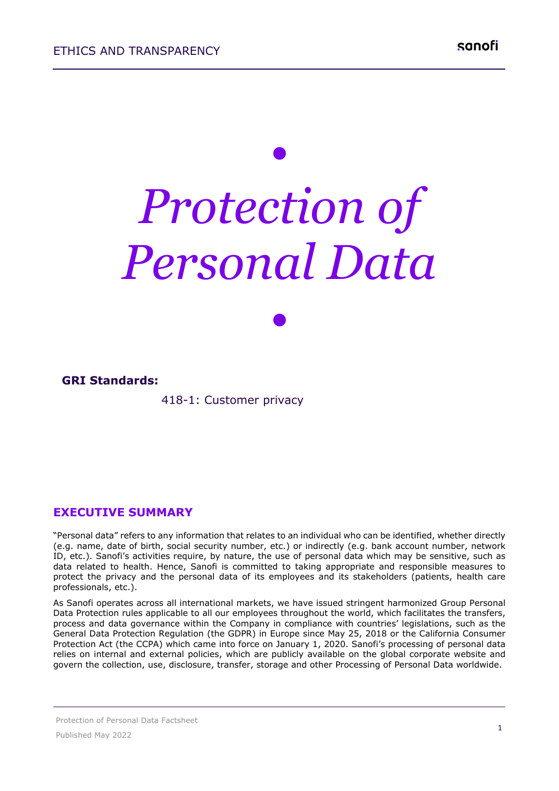# *• Protection of Personal Data*

*•*

#### **GRI Standards:**

418-1: Customer privacy

#### **EXECUTIVE SUMMARY**

"Personal data" refers to any information that relates to an individual who can be identified, whether directly (e.g. name, date of birth, social security number, etc.) or indirectly (e.g. bank account number, network ID, etc.). Sanofi's activities require, by nature, the use of personal data which may be sensitive, such as data related to health. Hence, Sanofi is committed to taking appropriate and responsible measures to protect the privacy and the personal data of its employees and its stakeholders (patients, health care professionals, etc.).

As Sanofi operates across all international markets, we have issued stringent harmonized Group Personal Data Protection rules applicable to all our employees throughout the world, which facilitates the transfers, process and data governance within the Company in compliance with countries' legislations, such as the General Data Protection Regulation (the GDPR) in Europe since May 25, 2018 or the California Consumer Protection Act (the CCPA) which came into force on January 1, 2020. Sanofi's processing of personal data relies on internal and external policies, which are publicly available on the global corporate website and govern the collection, use, disclosure, transfer, storage and other Processing of Personal Data worldwide.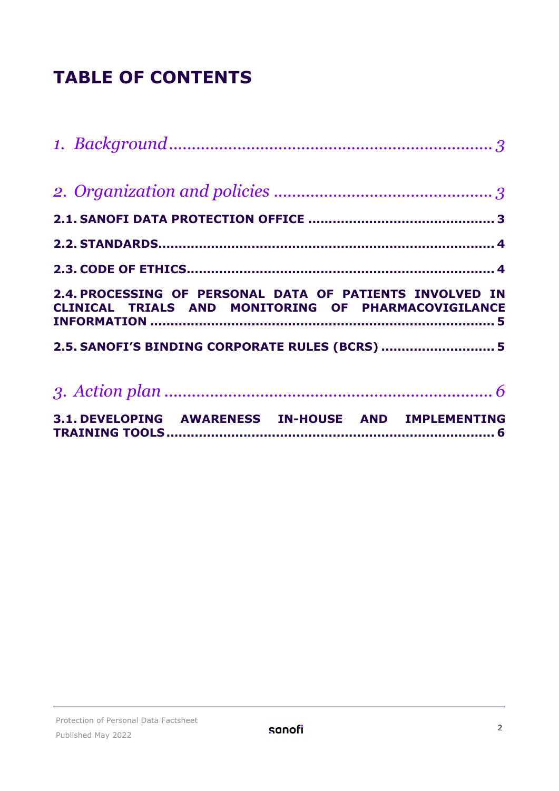## **TABLE OF CONTENTS**

| 2.4. PROCESSING OF PERSONAL DATA OF PATIENTS INVOLVED IN<br>CLINICAL TRIALS AND MONITORING OF PHARMACOVIGILANCE |
|-----------------------------------------------------------------------------------------------------------------|
| 2.5. SANOFI'S BINDING CORPORATE RULES (BCRS)  5                                                                 |
|                                                                                                                 |
|                                                                                                                 |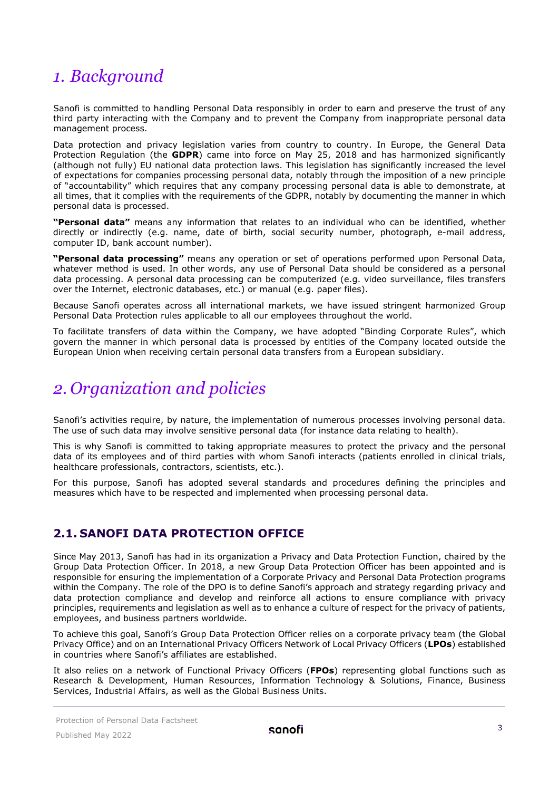### <span id="page-2-0"></span>*1. Background*

Sanofi is committed to handling Personal Data responsibly in order to earn and preserve the trust of any third party interacting with the Company and to prevent the Company from inappropriate personal data management process.

Data protection and privacy legislation varies from country to country. In Europe, the General Data Protection Regulation (the **GDPR**) came into force on May 25, 2018 and has harmonized significantly (although not fully) EU national data protection laws. This legislation has significantly increased the level of expectations for companies processing personal data, notably through the imposition of a new principle of "accountability" which requires that any company processing personal data is able to demonstrate, at all times, that it complies with the requirements of the GDPR, notably by documenting the manner in which personal data is processed.

**"Personal data"** means any information that relates to an individual who can be identified, whether directly or indirectly (e.g. name, date of birth, social security number, photograph, e-mail address, computer ID, bank account number).

**"Personal data processing"** means any operation or set of operations performed upon Personal Data, whatever method is used. In other words, any use of Personal Data should be considered as a personal data processing. A personal data processing can be computerized (e.g. video surveillance, files transfers over the Internet, electronic databases, etc.) or manual (e.g. paper files).

Because Sanofi operates across all international markets, we have issued stringent harmonized Group Personal Data Protection rules applicable to all our employees throughout the world.

To facilitate transfers of data within the Company, we have adopted "Binding Corporate Rules", which govern the manner in which personal data is processed by entities of the Company located outside the European Union when receiving certain personal data transfers from a European subsidiary.

## <span id="page-2-1"></span>*2. Organization and policies*

Sanofi's activities require, by nature, the implementation of numerous processes involving personal data. The use of such data may involve sensitive personal data (for instance data relating to health).

This is why Sanofi is committed to taking appropriate measures to protect the privacy and the personal data of its employees and of third parties with whom Sanofi interacts (patients enrolled in clinical trials, healthcare professionals, contractors, scientists, etc.).

For this purpose, Sanofi has adopted several standards and procedures defining the principles and measures which have to be respected and implemented when processing personal data.

#### <span id="page-2-2"></span>**2.1. SANOFI DATA PROTECTION OFFICE**

Since May 2013, Sanofi has had in its organization a Privacy and Data Protection Function, chaired by the Group Data Protection Officer. In 2018, a new Group Data Protection Officer has been appointed and is responsible for ensuring the implementation of a Corporate Privacy and Personal Data Protection programs within the Company. The role of the DPO is to define Sanofi's approach and strategy regarding privacy and data protection compliance and develop and reinforce all actions to ensure compliance with privacy principles, requirements and legislation as well as to enhance a culture of respect for the privacy of patients, employees, and business partners worldwide.

To achieve this goal, Sanofi's Group Data Protection Officer relies on a corporate privacy team (the Global Privacy Office) and on an International Privacy Officers Network of Local Privacy Officers (**LPOs**) established in countries where Sanofi's affiliates are established.

It also relies on a network of Functional Privacy Officers (**FPOs**) representing global functions such as Research & Development, Human Resources, Information Technology & Solutions, Finance, Business Services, Industrial Affairs, as well as the Global Business Units.

Protection of Personal Data Factsheet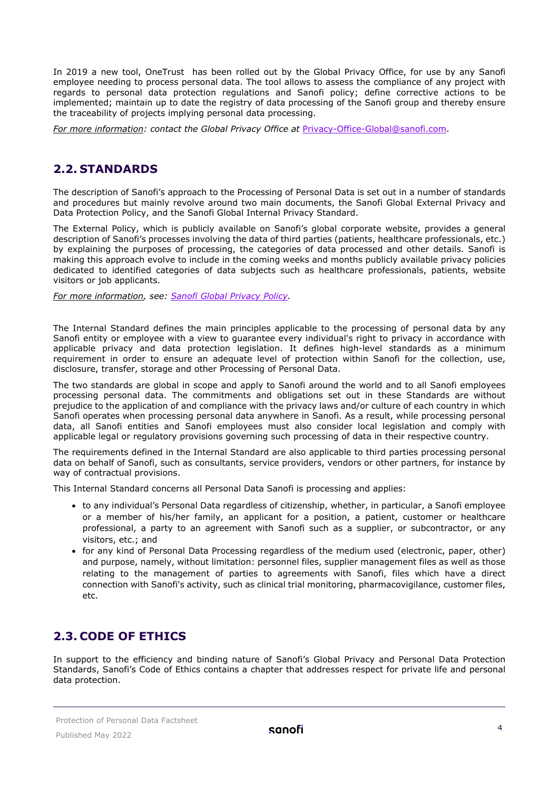In 2019 a new tool, OneTrust has been rolled out by the Global Privacy Office, for use by any Sanofi employee needing to process personal data. The tool allows to assess the compliance of any project with regards to personal data protection regulations and Sanofi policy; define corrective actions to be implemented; maintain up to date the registry of data processing of the Sanofi group and thereby ensure the traceability of projects implying personal data processing.

<span id="page-3-0"></span>*For more information: contact the Global Privacy Office at* [Privacy-Office-Global@sanofi.com.](mailto:Privacy-Office-Global@sanofi.com)

#### **2.2. STANDARDS**

The description of Sanofi's approach to the Processing of Personal Data is set out in a number of standards and procedures but mainly revolve around two main documents, the Sanofi Global External Privacy and Data Protection Policy, and the Sanofi Global Internal Privacy Standard.

The External Policy, which is publicly available on Sanofi's global corporate website, provides a general description of Sanofi's processes involving the data of third parties (patients, healthcare professionals, etc.) by explaining the purposes of processing, the categories of data processed and other details. Sanofi is making this approach evolve to include in the coming weeks and months publicly available privacy policies dedicated to identified categories of data subjects such as healthcare professionals, patients, website visitors or job applicants.

*For more information, see: [Sanofi Global Privacy Policy.](https://www.sanofi.com/en/our-responsibility/sanofi-global-privacy-policy)*

The Internal Standard defines the main principles applicable to the processing of personal data by any Sanofi entity or employee with a view to guarantee every individual's right to privacy in accordance with applicable privacy and data protection legislation. It defines high-level standards as a minimum requirement in order to ensure an adequate level of protection within Sanofi for the collection, use, disclosure, transfer, storage and other Processing of Personal Data.

The two standards are global in scope and apply to Sanofi around the world and to all Sanofi employees processing personal data. The commitments and obligations set out in these Standards are without prejudice to the application of and compliance with the privacy laws and/or culture of each country in which Sanofi operates when processing personal data anywhere in Sanofi. As a result, while processing personal data, all Sanofi entities and Sanofi employees must also consider local legislation and comply with applicable legal or regulatory provisions governing such processing of data in their respective country.

The requirements defined in the Internal Standard are also applicable to third parties processing personal data on behalf of Sanofi, such as consultants, service providers, vendors or other partners, for instance by way of contractual provisions.

This Internal Standard concerns all Personal Data Sanofi is processing and applies:

- to any individual's Personal Data regardless of citizenship, whether, in particular, a Sanofi employee or a member of his/her family, an applicant for a position, a patient, customer or healthcare professional, a party to an agreement with Sanofi such as a supplier, or subcontractor, or any visitors, etc.; and
- for any kind of Personal Data Processing regardless of the medium used (electronic, paper, other) and purpose, namely, without limitation: personnel files, supplier management files as well as those relating to the management of parties to agreements with Sanofi, files which have a direct connection with Sanofi's activity, such as clinical trial monitoring, pharmacovigilance, customer files, etc.

#### <span id="page-3-1"></span>**2.3. CODE OF ETHICS**

In support to the efficiency and binding nature of Sanofi's Global Privacy and Personal Data Protection Standards, Sanofi's Code of Ethics contains a chapter that addresses respect for private life and personal data protection.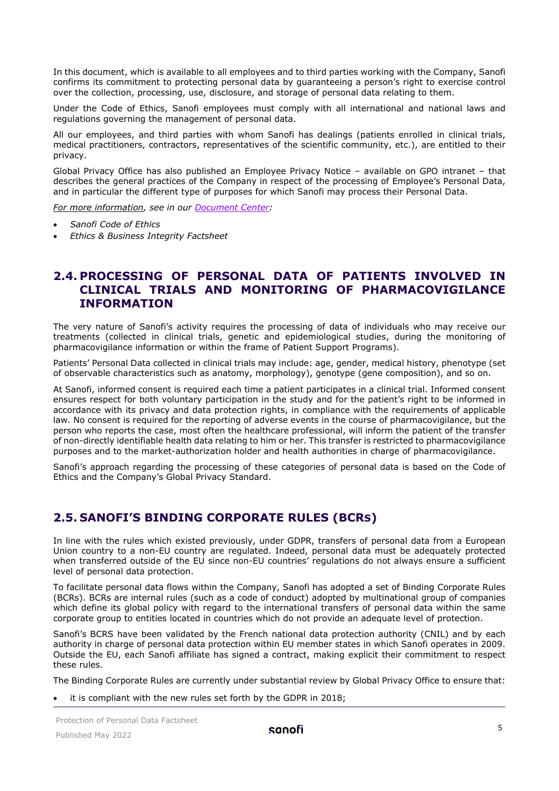In this document, which is available to all employees and to third parties working with the Company, Sanofi confirms its commitment to protecting personal data by guaranteeing a person's right to exercise control over the collection, processing, use, disclosure, and storage of personal data relating to them.

Under the Code of Ethics, Sanofi employees must comply with all international and national laws and regulations governing the management of personal data.

All our employees, and third parties with whom Sanofi has dealings (patients enrolled in clinical trials, medical practitioners, contractors, representatives of the scientific community, etc.), are entitled to their privacy.

Global Privacy Office has also published an Employee Privacy Notice – available on GPO intranet – that describes the general practices of the Company in respect of the processing of Employee's Personal Data, and in particular the different type of purposes for which Sanofi may process their Personal Data.

*For more information, see in our [Document](https://www.sanofi.com/en/our-responsibility/documents-center) Center:*

- *Sanofi Code of Ethics*
- *Ethics & Business Integrity Factsheet*

#### <span id="page-4-0"></span>**2.4. PROCESSING OF PERSONAL DATA OF PATIENTS INVOLVED IN CLINICAL TRIALS AND MONITORING OF PHARMACOVIGILANCE INFORMATION**

The very nature of Sanofi's activity requires the processing of data of individuals who may receive our treatments (collected in clinical trials, genetic and epidemiological studies, during the monitoring of pharmacovigilance information or within the frame of Patient Support Programs).

Patients' Personal Data collected in clinical trials may include: age, gender, medical history, phenotype (set of observable characteristics such as anatomy, morphology), genotype (gene composition), and so on.

At Sanofi, informed consent is required each time a patient participates in a clinical trial. Informed consent ensures respect for both voluntary participation in the study and for the patient's right to be informed in accordance with its privacy and data protection rights, in compliance with the requirements of applicable law. No consent is required for the reporting of adverse events in the course of pharmacovigilance, but the person who reports the case, most often the healthcare professional, will inform the patient of the transfer of non-directly identifiable health data relating to him or her. This transfer is restricted to pharmacovigilance purposes and to the market-authorization holder and health authorities in charge of pharmacovigilance.

Sanofi's approach regarding the processing of these categories of personal data is based on the Code of Ethics and the Company's Global Privacy Standard.

#### <span id="page-4-1"></span>**2.5. SANOFI'S BINDING CORPORATE RULES (BCRS)**

In line with the rules which existed previously, under GDPR, transfers of personal data from a European Union country to a non-EU country are regulated. Indeed, personal data must be adequately protected when transferred outside of the EU since non-EU countries' regulations do not always ensure a sufficient level of personal data protection.

To facilitate personal data flows within the Company, Sanofi has adopted a set of Binding Corporate Rules (BCRs). BCRs are internal rules (such as a code of conduct) adopted by multinational group of companies which define its global policy with regard to the international transfers of personal data within the same corporate group to entities located in countries which do not provide an adequate level of protection.

Sanofi's BCRS have been validated by the French national data protection authority (CNIL) and by each authority in charge of personal data protection within EU member states in which Sanofi operates in 2009. Outside the EU, each Sanofi affiliate has signed a contract, making explicit their commitment to respect these rules.

The Binding Corporate Rules are currently under substantial review by Global Privacy Office to ensure that:

it is compliant with the new rules set forth by the GDPR in 2018;